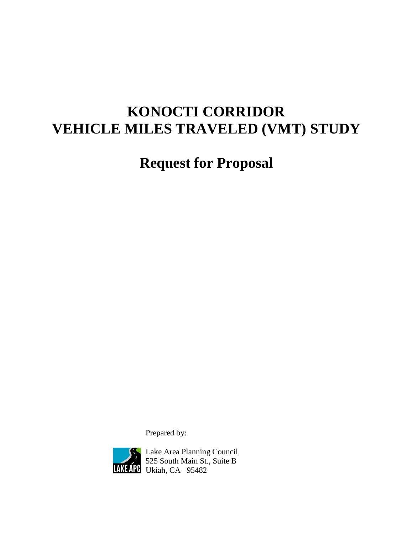# **KONOCTI CORRIDOR VEHICLE MILES TRAVELED (VMT) STUDY**

**Request for Proposal**

Prepared by:



Lake Area Planning Council 525 South Main St., Suite B **PC** Ukiah, CA 95482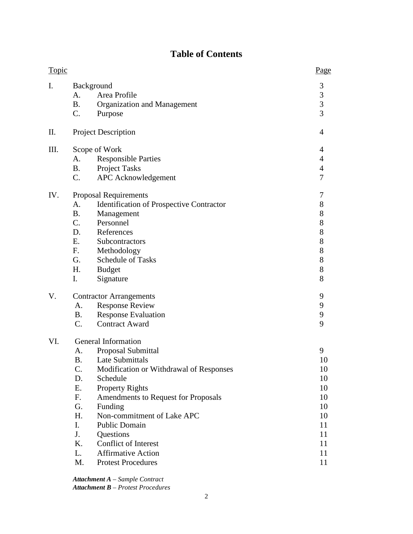# **Table of Contents**

| <b>Topic</b> |                                                                            |                                                                                                                                                                                                                                                                                                                                                             | Page                                                                      |
|--------------|----------------------------------------------------------------------------|-------------------------------------------------------------------------------------------------------------------------------------------------------------------------------------------------------------------------------------------------------------------------------------------------------------------------------------------------------------|---------------------------------------------------------------------------|
| I.           | A.<br><b>B.</b><br>C.                                                      | Background<br>Area Profile<br>Organization and Management<br>Purpose                                                                                                                                                                                                                                                                                        | $\mathfrak{Z}$<br>$\begin{array}{c} 3 \\ 3 \\ 3 \end{array}$              |
| Π.           |                                                                            | <b>Project Description</b>                                                                                                                                                                                                                                                                                                                                  | 4                                                                         |
| III.         | A.<br><b>B.</b><br>C.                                                      | Scope of Work<br><b>Responsible Parties</b><br><b>Project Tasks</b><br><b>APC</b> Acknowledgement                                                                                                                                                                                                                                                           | 4<br>$\overline{4}$<br>$\overline{4}$<br>$\overline{7}$                   |
| IV.          | A.<br><b>B.</b><br>C.<br>D.<br>Ε.<br>F.<br>G.<br>H.<br>I.                  | <b>Proposal Requirements</b><br><b>Identification of Prospective Contractor</b><br>Management<br>Personnel<br>References<br>Subcontractors<br>Methodology<br><b>Schedule of Tasks</b><br><b>Budget</b><br>Signature                                                                                                                                         | 7<br>8<br>8<br>8<br>8<br>8<br>8<br>8<br>8<br>8                            |
| V.           | A.<br><b>B.</b><br>$C_{\cdot}$                                             | <b>Contractor Arrangements</b><br><b>Response Review</b><br><b>Response Evaluation</b><br><b>Contract Award</b>                                                                                                                                                                                                                                             | 9<br>9<br>9<br>9                                                          |
| VI.          | A.<br>В.<br>C.<br>D.<br>Ε.<br>F.<br>G.<br>H.<br>I.<br>J.<br>K.<br>L.<br>M. | General Information<br>Proposal Submittal<br>Late Submittals<br>Modification or Withdrawal of Responses<br>Schedule<br><b>Property Rights</b><br>Amendments to Request for Proposals<br>Funding<br>Non-commitment of Lake APC<br><b>Public Domain</b><br>Questions<br><b>Conflict of Interest</b><br><b>Affirmative Action</b><br><b>Protest Procedures</b> | 9<br>10<br>10<br>10<br>10<br>10<br>10<br>10<br>11<br>11<br>11<br>11<br>11 |

*Attachment A – Sample Contract Attachment B – Protest Procedures*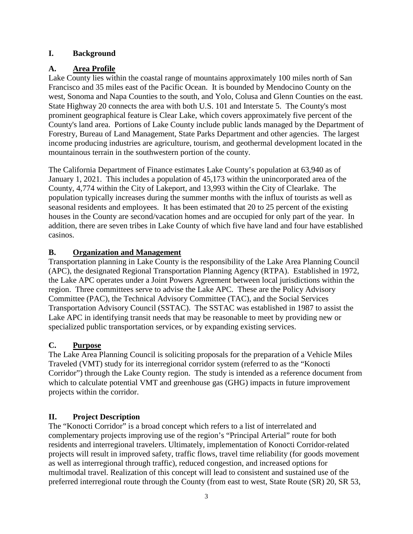#### **I. Background**

## **A. Area Profile**

Lake County lies within the coastal range of mountains approximately 100 miles north of San Francisco and 35 miles east of the Pacific Ocean. It is bounded by Mendocino County on the west, Sonoma and Napa Counties to the south, and Yolo, Colusa and Glenn Counties on the east. State Highway 20 connects the area with both U.S. 101 and Interstate 5. The County's most prominent geographical feature is Clear Lake, which covers approximately five percent of the County's land area. Portions of Lake County include public lands managed by the Department of Forestry, Bureau of Land Management, State Parks Department and other agencies. The largest income producing industries are agriculture, tourism, and geothermal development located in the mountainous terrain in the southwestern portion of the county.

The California Department of Finance estimates Lake County's population at 63,940 as of January 1, 2021. This includes a population of 45,173 within the unincorporated area of the County, 4,774 within the City of Lakeport, and 13,993 within the City of Clearlake. The population typically increases during the summer months with the influx of tourists as well as seasonal residents and employees. It has been estimated that 20 to 25 percent of the existing houses in the County are second/vacation homes and are occupied for only part of the year. In addition, there are seven tribes in Lake County of which five have land and four have established casinos.

## **B. Organization and Management**

Transportation planning in Lake County is the responsibility of the Lake Area Planning Council (APC), the designated Regional Transportation Planning Agency (RTPA). Established in 1972, the Lake APC operates under a Joint Powers Agreement between local jurisdictions within the region. Three committees serve to advise the Lake APC. These are the Policy Advisory Committee (PAC), the Technical Advisory Committee (TAC), and the Social Services Transportation Advisory Council (SSTAC). The SSTAC was established in 1987 to assist the Lake APC in identifying transit needs that may be reasonable to meet by providing new or specialized public transportation services, or by expanding existing services.

# **C. Purpose**

The Lake Area Planning Council is soliciting proposals for the preparation of a Vehicle Miles Traveled (VMT) study for its interregional corridor system (referred to as the "Konocti Corridor") through the Lake County region. The study is intended as a reference document from which to calculate potential VMT and greenhouse gas (GHG) impacts in future improvement projects within the corridor.

# **II. Project Description**

The "Konocti Corridor" is a broad concept which refers to a list of interrelated and complementary projects improving use of the region's "Principal Arterial" route for both residents and interregional travelers. Ultimately, implementation of Konocti Corridor-related projects will result in improved safety, traffic flows, travel time reliability (for goods movement as well as interregional through traffic), reduced congestion, and increased options for multimodal travel. Realization of this concept will lead to consistent and sustained use of the preferred interregional route through the County (from east to west, State Route (SR) 20, SR 53,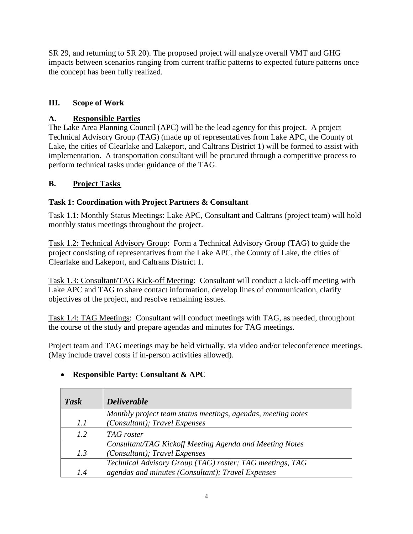SR 29, and returning to SR 20). The proposed project will analyze overall VMT and GHG impacts between scenarios ranging from current traffic patterns to expected future patterns once the concept has been fully realized.

# **III. Scope of Work**

# **A. Responsible Parties**

The Lake Area Planning Council (APC) will be the lead agency for this project. A project Technical Advisory Group (TAG) (made up of representatives from Lake APC, the County of Lake, the cities of Clearlake and Lakeport, and Caltrans District 1) will be formed to assist with implementation. A transportation consultant will be procured through a competitive process to perform technical tasks under guidance of the TAG.

# **B. Project Tasks**

# **Task 1: Coordination with Project Partners & Consultant**

Task 1.1: Monthly Status Meetings: Lake APC, Consultant and Caltrans (project team) will hold monthly status meetings throughout the project.

Task 1.2: Technical Advisory Group: Form a Technical Advisory Group (TAG) to guide the project consisting of representatives from the Lake APC, the County of Lake, the cities of Clearlake and Lakeport, and Caltrans District 1.

Task 1.3: Consultant/TAG Kick-off Meeting: Consultant will conduct a kick-off meeting with Lake APC and TAG to share contact information, develop lines of communication, clarify objectives of the project, and resolve remaining issues.

Task 1.4: TAG Meetings: Consultant will conduct meetings with TAG, as needed, throughout the course of the study and prepare agendas and minutes for TAG meetings.

Project team and TAG meetings may be held virtually, via video and/or teleconference meetings. (May include travel costs if in-person activities allowed).

# *Task Deliverable 1.1 Monthly project team status meetings, agendas, meeting notes (Consultant); Travel Expenses 1.2 TAG roster 1.3 Consultant/TAG Kickoff Meeting Agenda and Meeting Notes (Consultant); Travel Expenses 1.4 Technical Advisory Group (TAG) roster; TAG meetings, TAG agendas and minutes (Consultant); Travel Expenses*

# • **Responsible Party: Consultant & APC**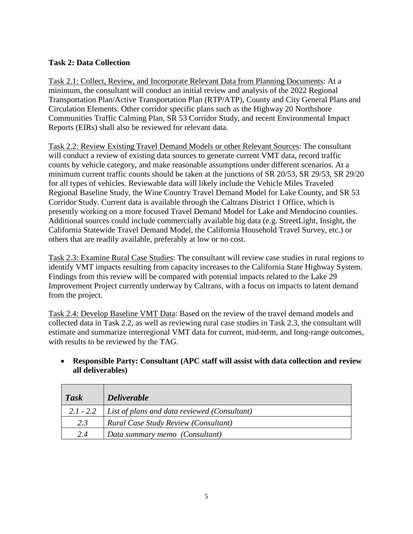#### **Task 2: Data Collection**

Task 2.1: Collect, Review, and Incorporate Relevant Data from Planning Documents: At a minimum, the consultant will conduct an initial review and analysis of the 2022 Regional Transportation Plan/Active Transportation Plan (RTP/ATP), County and City General Plans and Circulation Elements. Other corridor specific plans such as the Highway 20 Northshore Communities Traffic Calming Plan, SR 53 Corridor Study, and recent Environmental Impact Reports (EIRs) shall also be reviewed for relevant data.

Task 2.2: Review Existing Travel Demand Models or other Relevant Sources: The consultant will conduct a review of existing data sources to generate current VMT data, record traffic counts by vehicle category, and make reasonable assumptions under different scenarios. At a minimum current traffic counts should be taken at the junctions of SR 20/53, SR 29/53, SR 29/20 for all types of vehicles. Reviewable data will likely include the Vehicle Miles Traveled Regional Baseline Study, the Wine Country Travel Demand Model for Lake County, and SR 53 Corridor Study. Current data is available through the Caltrans District 1 Office, which is presently working on a more focused Travel Demand Model for Lake and Mendocino counties. Additional sources could include commercially available big data (e.g. StreetLight, Insight, the California Statewide Travel Demand Model, the California Household Travel Survey, etc.) or others that are readily available, preferably at low or no cost.

Task 2.3: Examine Rural Case Studies: The consultant will review case studies in rural regions to identify VMT impacts resulting from capacity increases to the California State Highway System. Findings from this review will be compared with potential impacts related to the Lake 29 Improvement Project currently underway by Caltrans, with a focus on impacts to latent demand from the project.

Task 2.4: Develop Baseline VMT Data: Based on the review of the travel demand models and collected data in Task 2.2, as well as reviewing rural case studies in Task 2.3, the consultant will estimate and summarize interregional VMT data for current, mid-term, and long-range outcomes, with results to be reviewed by the TAG.

# **all deliverables)**

• **Responsible Party: Consultant (APC staff will assist with data collection and review** 

| <b>Task</b> | $\Delta$ Deliverable                                     |
|-------------|----------------------------------------------------------|
|             | 2.1 - 2.2   List of plans and data reviewed (Consultant) |
| 2.3         | <b>Rural Case Study Review (Consultant)</b>              |
| 2.4         | Data summary memo (Consultant)                           |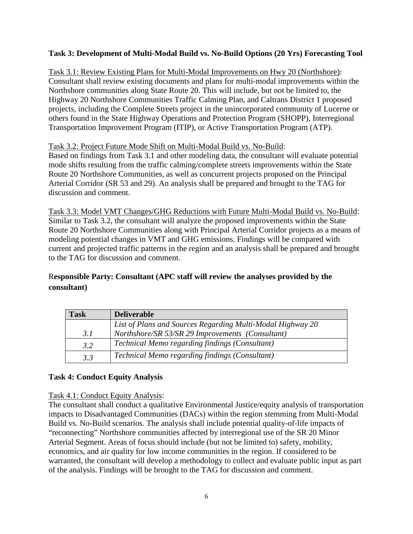# **Task 3: Development of Multi-Modal Build vs. No-Build Options (20 Yrs) Forecasting Tool**

Task 3.1: Review Existing Plans for Multi-Modal Improvements on Hwy 20 (Northshore): Consultant shall review existing documents and plans for multi-modal improvements within the Northshore communities along State Route 20. This will include, but not be limited to, the Highway 20 Northshore Communities Traffic Calming Plan, and Caltrans District 1 proposed projects, including the Complete Streets project in the unincorporated community of Lucerne or others found in the State Highway Operations and Protection Program (SHOPP), Interregional Transportation Improvement Program (ITIP), or Active Transportation Program (ATP).

## Task 3.2: Project Future Mode Shift on Multi-Modal Build vs. No-Build:

Based on findings from Task 3.1 and other modeling data, the consultant will evaluate potential mode shifts resulting from the traffic calming/complete streets improvements within the State Route 20 Northshore Communities, as well as concurrent projects proposed on the Principal Arterial Corridor (SR 53 and 29). An analysis shall be prepared and brought to the TAG for discussion and comment.

Task 3.3: Model VMT Changes/GHG Reductions with Future Multi-Modal Build vs. No-Build: Similar to Task 3.2, the consultant will analyze the proposed improvements within the State Route 20 Northshore Communities along with Principal Arterial Corridor projects as a means of modeling potential changes in VMT and GHG emissions. Findings will be compared with current and projected traffic patterns in the region and an analysis shall be prepared and brought to the TAG for discussion and comment.

# R**esponsible Party: Consultant (APC staff will review the analyses provided by the consultant)**

| <b>Task</b> | <b>Deliverable</b>                                         |
|-------------|------------------------------------------------------------|
|             | List of Plans and Sources Regarding Multi-Modal Highway 20 |
| 3.1         | Northshore/SR 53/SR 29 Improvements (Consultant)           |
| 3.2         | Technical Memo regarding findings (Consultant)             |
| 3.3         | Technical Memo regarding findings (Consultant)             |

## **Task 4: Conduct Equity Analysis**

## Task 4.1: Conduct Equity Analysis:

The consultant shall conduct a qualitative Environmental Justice/equity analysis of transportation impacts to Disadvantaged Communities (DACs) within the region stemming from Multi-Modal Build vs. No-Build scenarios. The analysis shall include potential quality-of-life impacts of "reconnecting" Northshore communities affected by interregional use of the SR 20 Minor Arterial Segment. Areas of focus should include (but not be limited to) safety, mobility, economics, and air quality for low income communities in the region. If considered to be warranted, the consultant will develop a methodology to collect and evaluate public input as part of the analysis. Findings will be brought to the TAG for discussion and comment.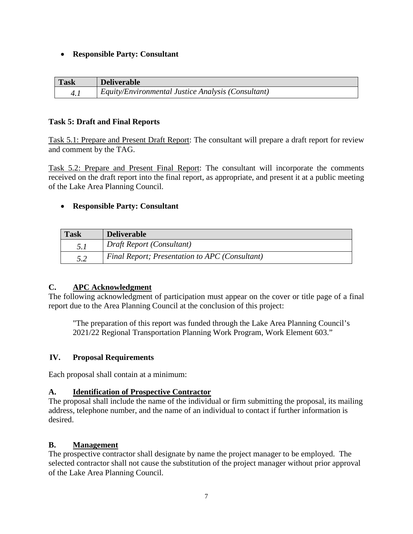#### • **Responsible Party: Consultant**

| <b>Task</b> | <b>Deliverable</b>                                 |
|-------------|----------------------------------------------------|
| 4.1         | Equity/Environmental Justice Analysis (Consultant) |

#### **Task 5: Draft and Final Reports**

Task 5.1: Prepare and Present Draft Report: The consultant will prepare a draft report for review and comment by the TAG.

Task 5.2: Prepare and Present Final Report: The consultant will incorporate the comments received on the draft report into the final report, as appropriate, and present it at a public meeting of the Lake Area Planning Council.

#### • **Responsible Party: Consultant**

| <b>Task</b> | <b>Deliverable</b>                             |
|-------------|------------------------------------------------|
| 5.1         | Draft Report (Consultant)                      |
| 5.2         | Final Report; Presentation to APC (Consultant) |

#### **C. APC Acknowledgment**

The following acknowledgment of participation must appear on the cover or title page of a final report due to the Area Planning Council at the conclusion of this project:

"The preparation of this report was funded through the Lake Area Planning Council's 2021/22 Regional Transportation Planning Work Program, Work Element 603."

#### **IV. Proposal Requirements**

Each proposal shall contain at a minimum:

#### **A. Identification of Prospective Contractor**

The proposal shall include the name of the individual or firm submitting the proposal, its mailing address, telephone number, and the name of an individual to contact if further information is desired.

#### **B. Management**

The prospective contractor shall designate by name the project manager to be employed. The selected contractor shall not cause the substitution of the project manager without prior approval of the Lake Area Planning Council.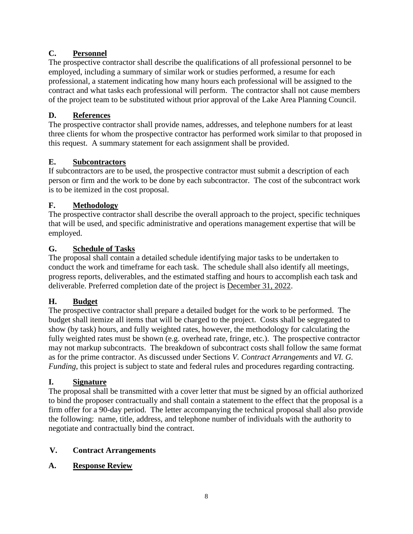# **C. Personnel**

The prospective contractor shall describe the qualifications of all professional personnel to be employed, including a summary of similar work or studies performed, a resume for each professional, a statement indicating how many hours each professional will be assigned to the contract and what tasks each professional will perform. The contractor shall not cause members of the project team to be substituted without prior approval of the Lake Area Planning Council.

# **D. References**

The prospective contractor shall provide names, addresses, and telephone numbers for at least three clients for whom the prospective contractor has performed work similar to that proposed in this request. A summary statement for each assignment shall be provided.

# **E. Subcontractors**

If subcontractors are to be used, the prospective contractor must submit a description of each person or firm and the work to be done by each subcontractor. The cost of the subcontract work is to be itemized in the cost proposal.

# **F. Methodology**

The prospective contractor shall describe the overall approach to the project, specific techniques that will be used, and specific administrative and operations management expertise that will be employed.

# **G. Schedule of Tasks**

The proposal shall contain a detailed schedule identifying major tasks to be undertaken to conduct the work and timeframe for each task. The schedule shall also identify all meetings, progress reports, deliverables, and the estimated staffing and hours to accomplish each task and deliverable. Preferred completion date of the project is December 31, 2022.

# **H. Budget**

The prospective contractor shall prepare a detailed budget for the work to be performed. The budget shall itemize all items that will be charged to the project. Costs shall be segregated to show (by task) hours, and fully weighted rates, however, the methodology for calculating the fully weighted rates must be shown (e.g. overhead rate, fringe, etc.). The prospective contractor may not markup subcontracts. The breakdown of subcontract costs shall follow the same format as for the prime contractor. As discussed under Sections *V. Contract Arrangements* and *VI. G. Funding*, this project is subject to state and federal rules and procedures regarding contracting.

# **I. Signature**

The proposal shall be transmitted with a cover letter that must be signed by an official authorized to bind the proposer contractually and shall contain a statement to the effect that the proposal is a firm offer for a 90-day period. The letter accompanying the technical proposal shall also provide the following: name, title, address, and telephone number of individuals with the authority to negotiate and contractually bind the contract.

# **V. Contract Arrangements**

## **A. Response Review**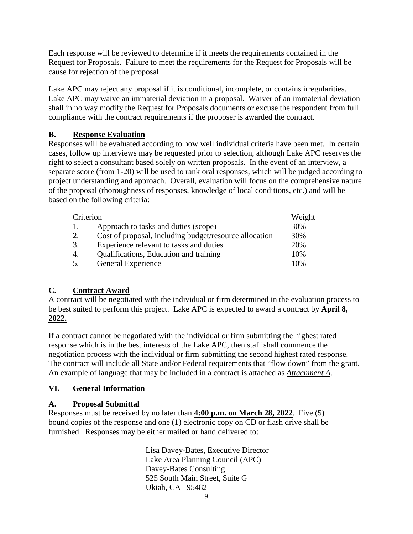Each response will be reviewed to determine if it meets the requirements contained in the Request for Proposals. Failure to meet the requirements for the Request for Proposals will be cause for rejection of the proposal.

Lake APC may reject any proposal if it is conditional, incomplete, or contains irregularities. Lake APC may waive an immaterial deviation in a proposal. Waiver of an immaterial deviation shall in no way modify the Request for Proposals documents or excuse the respondent from full compliance with the contract requirements if the proposer is awarded the contract.

# **B. Response Evaluation**

Responses will be evaluated according to how well individual criteria have been met. In certain cases, follow up interviews may be requested prior to selection, although Lake APC reserves the right to select a consultant based solely on written proposals. In the event of an interview, a separate score (from 1-20) will be used to rank oral responses, which will be judged according to project understanding and approach. Overall, evaluation will focus on the comprehensive nature of the proposal (thoroughness of responses, knowledge of local conditions, etc.) and will be based on the following criteria:

| Criterion |                                                        | Weight |
|-----------|--------------------------------------------------------|--------|
| 1.        | Approach to tasks and duties (scope)                   | 30%    |
| 2.        | Cost of proposal, including budget/resource allocation | 30%    |
| 3.        | Experience relevant to tasks and duties                | 20%    |
| 4.        | Qualifications, Education and training                 | 10%    |
| 5.        | General Experience                                     | 10%    |

# **C. Contract Award**

A contract will be negotiated with the individual or firm determined in the evaluation process to be best suited to perform this project. Lake APC is expected to award a contract by **April 8, 2022.**

If a contract cannot be negotiated with the individual or firm submitting the highest rated response which is in the best interests of the Lake APC, then staff shall commence the negotiation process with the individual or firm submitting the second highest rated response. The contract will include all State and/or Federal requirements that "flow down" from the grant. An example of language that may be included in a contract is attached as *Attachment A*.

# **VI. General Information**

# **A. Proposal Submittal**

Responses must be received by no later than **4:00 p.m. on March 28, 2022**. Five (5) bound copies of the response and one (1) electronic copy on CD or flash drive shall be furnished. Responses may be either mailed or hand delivered to:

> Lisa Davey-Bates, Executive Director Lake Area Planning Council (APC) Davey-Bates Consulting 525 South Main Street, Suite G Ukiah, CA 95482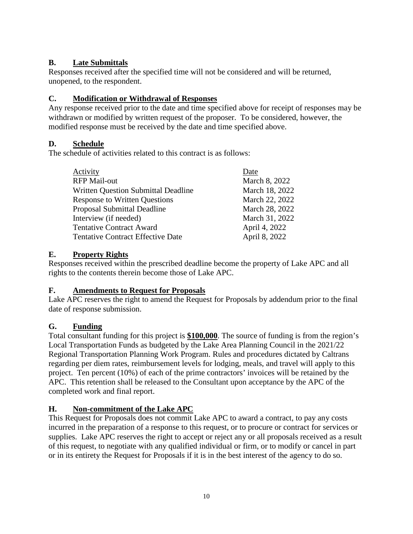# **B. Late Submittals**

Responses received after the specified time will not be considered and will be returned, unopened, to the respondent.

# **C. Modification or Withdrawal of Responses**

Any response received prior to the date and time specified above for receipt of responses may be withdrawn or modified by written request of the proposer. To be considered, however, the modified response must be received by the date and time specified above.

# **D. Schedule**

The schedule of activities related to this contract is as follows:

| Activity                                   | Date           |
|--------------------------------------------|----------------|
| <b>RFP Mail-out</b>                        | March 8, 2022  |
| <b>Written Question Submittal Deadline</b> | March 18, 2022 |
| <b>Response to Written Questions</b>       | March 22, 2022 |
| <b>Proposal Submittal Deadline</b>         | March 28, 2022 |
| Interview (if needed)                      | March 31, 2022 |
| <b>Tentative Contract Award</b>            | April 4, 2022  |
| <b>Tentative Contract Effective Date</b>   | April 8, 2022  |
|                                            |                |

# **E. Property Rights**

Responses received within the prescribed deadline become the property of Lake APC and all rights to the contents therein become those of Lake APC.

# **F. Amendments to Request for Proposals**

Lake APC reserves the right to amend the Request for Proposals by addendum prior to the final date of response submission.

# **G. Funding**

Total consultant funding for this project is **\$100,000**. The source of funding is from the region's Local Transportation Funds as budgeted by the Lake Area Planning Council in the 2021/22 Regional Transportation Planning Work Program. Rules and procedures dictated by Caltrans regarding per diem rates, reimbursement levels for lodging, meals, and travel will apply to this project. Ten percent (10%) of each of the prime contractors' invoices will be retained by the APC. This retention shall be released to the Consultant upon acceptance by the APC of the completed work and final report.

# **H. Non-commitment of the Lake APC**

This Request for Proposals does not commit Lake APC to award a contract, to pay any costs incurred in the preparation of a response to this request, or to procure or contract for services or supplies. Lake APC reserves the right to accept or reject any or all proposals received as a result of this request, to negotiate with any qualified individual or firm, or to modify or cancel in part or in its entirety the Request for Proposals if it is in the best interest of the agency to do so.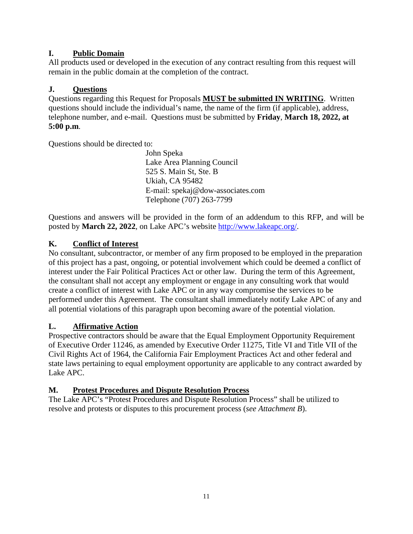# **I. Public Domain**

All products used or developed in the execution of any contract resulting from this request will remain in the public domain at the completion of the contract.

# **J. Questions**

Questions regarding this Request for Proposals **MUST be submitted IN WRITING**. Written questions should include the individual's name, the name of the firm (if applicable), address, telephone number, and e-mail. Questions must be submitted by **Friday**, **March 18, 2022, at 5:00 p.m**.

Questions should be directed to:

John Speka Lake Area Planning Council 525 S. Main St, Ste. B Ukiah, CA 95482 E-mail: spekaj@dow-associates.com Telephone (707) 263-7799

Questions and answers will be provided in the form of an addendum to this RFP, and will be posted by **March 22, 2022**, on Lake APC's website [http://www.lakeapc.org/.](http://www.lakeapc.org/)

# **K. Conflict of Interest**

No consultant, subcontractor, or member of any firm proposed to be employed in the preparation of this project has a past, ongoing, or potential involvement which could be deemed a conflict of interest under the Fair Political Practices Act or other law. During the term of this Agreement, the consultant shall not accept any employment or engage in any consulting work that would create a conflict of interest with Lake APC or in any way compromise the services to be performed under this Agreement. The consultant shall immediately notify Lake APC of any and all potential violations of this paragraph upon becoming aware of the potential violation.

## **L. Affirmative Action**

Prospective contractors should be aware that the Equal Employment Opportunity Requirement of Executive Order 11246, as amended by Executive Order 11275, Title VI and Title VII of the Civil Rights Act of 1964, the California Fair Employment Practices Act and other federal and state laws pertaining to equal employment opportunity are applicable to any contract awarded by Lake APC.

## **M. Protest Procedures and Dispute Resolution Process**

The Lake APC's "Protest Procedures and Dispute Resolution Process" shall be utilized to resolve and protests or disputes to this procurement process (*see Attachment B*).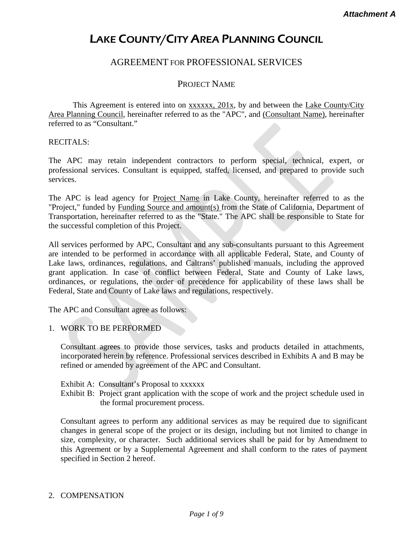# LAKE COUNTY/CITY AREA PLANNING COUNCIL

# AGREEMENT FOR PROFESSIONAL SERVICES

# PROJECT NAME

This Agreement is entered into on **xxxxx**, 201x, by and between the Lake County/City Area Planning Council, hereinafter referred to as the "APC", and (Consultant Name), hereinafter referred to as "Consultant."

RECITALS:

The APC may retain independent contractors to perform special, technical, expert, or professional services. Consultant is equipped, staffed, licensed, and prepared to provide such services.

The APC is lead agency for Project Name in Lake County, hereinafter referred to as the "Project," funded by Funding Source and amount(s) from the State of California, Department of Transportation, hereinafter referred to as the "State." The APC shall be responsible to State for the successful completion of this Project.

All services performed by APC, Consultant and any sub-consultants pursuant to this Agreement are intended to be performed in accordance with all applicable Federal, State, and County of Lake laws, ordinances, regulations, and Caltrans' published manuals, including the approved grant application. In case of conflict between Federal, State and County of Lake laws, ordinances, or regulations, the order of precedence for applicability of these laws shall be Federal, State and County of Lake laws and regulations, respectively.

The APC and Consultant agree as follows:

#### 1. WORK TO BE PERFORMED

Consultant agrees to provide those services, tasks and products detailed in attachments, incorporated herein by reference. Professional services described in Exhibits A and B may be refined or amended by agreement of the APC and Consultant.

#### Exhibit A: Consultant's Proposal to xxxxxx

Exhibit B: Project grant application with the scope of work and the project schedule used in the formal procurement process.

Consultant agrees to perform any additional services as may be required due to significant changes in general scope of the project or its design, including but not limited to change in size, complexity, or character. Such additional services shall be paid for by Amendment to this Agreement or by a Supplemental Agreement and shall conform to the rates of payment specified in Section 2 hereof.

#### 2. COMPENSATION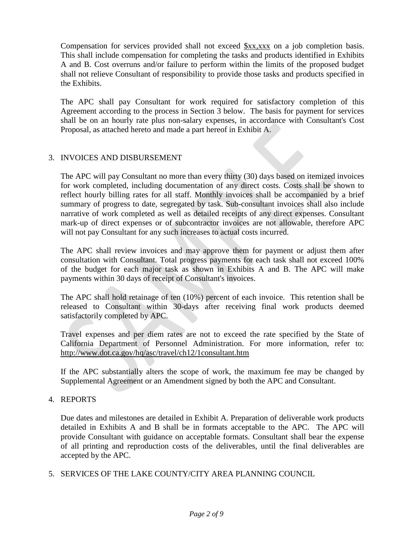Compensation for services provided shall not exceed \$xx,xxx on a job completion basis. This shall include compensation for completing the tasks and products identified in Exhibits A and B. Cost overruns and/or failure to perform within the limits of the proposed budget shall not relieve Consultant of responsibility to provide those tasks and products specified in the Exhibits.

The APC shall pay Consultant for work required for satisfactory completion of this Agreement according to the process in Section 3 below. The basis for payment for services shall be on an hourly rate plus non-salary expenses, in accordance with Consultant's Cost Proposal, as attached hereto and made a part hereof in Exhibit A.

#### 3. INVOICES AND DISBURSEMENT

The APC will pay Consultant no more than every thirty (30) days based on itemized invoices for work completed, including documentation of any direct costs. Costs shall be shown to reflect hourly billing rates for all staff. Monthly invoices shall be accompanied by a brief summary of progress to date, segregated by task. Sub-consultant invoices shall also include narrative of work completed as well as detailed receipts of any direct expenses. Consultant mark-up of direct expenses or of subcontractor invoices are not allowable, therefore APC will not pay Consultant for any such increases to actual costs incurred.

The APC shall review invoices and may approve them for payment or adjust them after consultation with Consultant. Total progress payments for each task shall not exceed 100% of the budget for each major task as shown in Exhibits A and B. The APC will make payments within 30 days of receipt of Consultant's invoices.

The APC shall hold retainage of ten (10%) percent of each invoice. This retention shall be released to Consultant within 30-days after receiving final work products deemed satisfactorily completed by APC.

Travel expenses and per diem rates are not to exceed the rate specified by the State of California Department of Personnel Administration. For more information, refer to: <http://www.dot.ca.gov/hq/asc/travel/ch12/1consultant.htm>

If the APC substantially alters the scope of work, the maximum fee may be changed by Supplemental Agreement or an Amendment signed by both the APC and Consultant.

#### 4. REPORTS

Due dates and milestones are detailed in Exhibit A. Preparation of deliverable work products detailed in Exhibits A and B shall be in formats acceptable to the APC. The APC will provide Consultant with guidance on acceptable formats. Consultant shall bear the expense of all printing and reproduction costs of the deliverables, until the final deliverables are accepted by the APC.

5. SERVICES OF THE LAKE COUNTY/CITY AREA PLANNING COUNCIL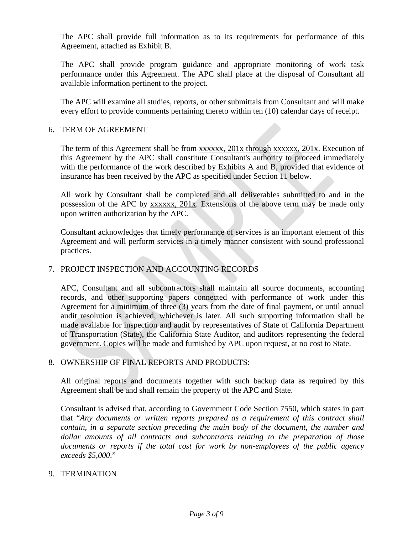The APC shall provide full information as to its requirements for performance of this Agreement, attached as Exhibit B.

The APC shall provide program guidance and appropriate monitoring of work task performance under this Agreement. The APC shall place at the disposal of Consultant all available information pertinent to the project.

The APC will examine all studies, reports, or other submittals from Consultant and will make every effort to provide comments pertaining thereto within ten (10) calendar days of receipt.

#### 6. TERM OF AGREEMENT

The term of this Agreement shall be from xxxxxx, 201x through xxxxxx, 201x. Execution of this Agreement by the APC shall constitute Consultant's authority to proceed immediately with the performance of the work described by Exhibits A and B, provided that evidence of insurance has been received by the APC as specified under Section 11 below.

All work by Consultant shall be completed and all deliverables submitted to and in the possession of the APC by xxxxxx, 201x. Extensions of the above term may be made only upon written authorization by the APC.

Consultant acknowledges that timely performance of services is an important element of this Agreement and will perform services in a timely manner consistent with sound professional practices.

#### 7. PROJECT INSPECTION AND ACCOUNTING RECORDS

APC, Consultant and all subcontractors shall maintain all source documents, accounting records, and other supporting papers connected with performance of work under this Agreement for a minimum of three (3) years from the date of final payment, or until annual audit resolution is achieved, whichever is later. All such supporting information shall be made available for inspection and audit by representatives of State of California Department of Transportation (State), the California State Auditor, and auditors representing the federal government. Copies will be made and furnished by APC upon request, at no cost to State.

#### 8. OWNERSHIP OF FINAL REPORTS AND PRODUCTS:

All original reports and documents together with such backup data as required by this Agreement shall be and shall remain the property of the APC and State.

Consultant is advised that, according to Government Code Section 7550, which states in part that "*Any documents or written reports prepared as a requirement of this contract shall contain, in a separate section preceding the main body of the document, the number and dollar amounts of all contracts and subcontracts relating to the preparation of those documents or reports if the total cost for work by non-employees of the public agency exceeds \$5,000*."

#### 9. TERMINATION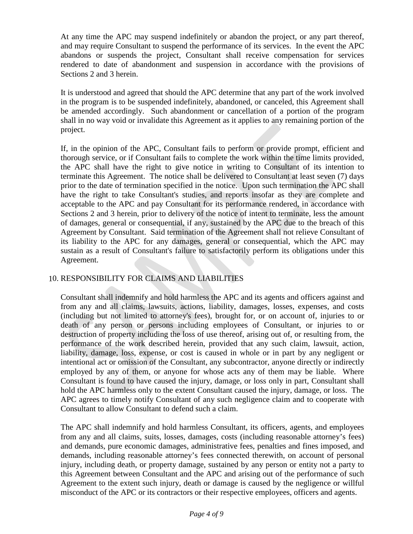At any time the APC may suspend indefinitely or abandon the project, or any part thereof, and may require Consultant to suspend the performance of its services. In the event the APC abandons or suspends the project, Consultant shall receive compensation for services rendered to date of abandonment and suspension in accordance with the provisions of Sections 2 and 3 herein.

It is understood and agreed that should the APC determine that any part of the work involved in the program is to be suspended indefinitely, abandoned, or canceled, this Agreement shall be amended accordingly. Such abandonment or cancellation of a portion of the program shall in no way void or invalidate this Agreement as it applies to any remaining portion of the project.

If, in the opinion of the APC, Consultant fails to perform or provide prompt, efficient and thorough service, or if Consultant fails to complete the work within the time limits provided, the APC shall have the right to give notice in writing to Consultant of its intention to terminate this Agreement. The notice shall be delivered to Consultant at least seven (7) days prior to the date of termination specified in the notice. Upon such termination the APC shall have the right to take Consultant's studies, and reports insofar as they are complete and acceptable to the APC and pay Consultant for its performance rendered, in accordance with Sections 2 and 3 herein, prior to delivery of the notice of intent to terminate, less the amount of damages, general or consequential, if any, sustained by the APC due to the breach of this Agreement by Consultant. Said termination of the Agreement shall not relieve Consultant of its liability to the APC for any damages, general or consequential, which the APC may sustain as a result of Consultant's failure to satisfactorily perform its obligations under this Agreement.

## 10. RESPONSIBILITY FOR CLAIMS AND LIABILITIES

Consultant shall indemnify and hold harmless the APC and its agents and officers against and from any and all claims, lawsuits, actions, liability, damages, losses, expenses, and costs (including but not limited to attorney's fees), brought for, or on account of, injuries to or death of any person or persons including employees of Consultant, or injuries to or destruction of property including the loss of use thereof, arising out of, or resulting from, the performance of the work described herein, provided that any such claim, lawsuit, action, liability, damage, loss, expense, or cost is caused in whole or in part by any negligent or intentional act or omission of the Consultant, any subcontractor, anyone directly or indirectly employed by any of them, or anyone for whose acts any of them may be liable. Where Consultant is found to have caused the injury, damage, or loss only in part, Consultant shall hold the APC harmless only to the extent Consultant caused the injury, damage, or loss. The APC agrees to timely notify Consultant of any such negligence claim and to cooperate with Consultant to allow Consultant to defend such a claim.

The APC shall indemnify and hold harmless Consultant, its officers, agents, and employees from any and all claims, suits, losses, damages, costs (including reasonable attorney's fees) and demands, pure economic damages, administrative fees, penalties and fines imposed, and demands, including reasonable attorney's fees connected therewith, on account of personal injury, including death, or property damage, sustained by any person or entity not a party to this Agreement between Consultant and the APC and arising out of the performance of such Agreement to the extent such injury, death or damage is caused by the negligence or willful misconduct of the APC or its contractors or their respective employees, officers and agents.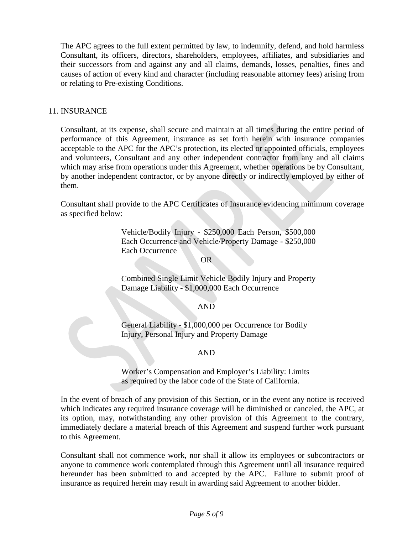The APC agrees to the full extent permitted by law, to indemnify, defend, and hold harmless Consultant, its officers, directors, shareholders, employees, affiliates, and subsidiaries and their successors from and against any and all claims, demands, losses, penalties, fines and causes of action of every kind and character (including reasonable attorney fees) arising from or relating to Pre-existing Conditions.

#### 11. INSURANCE

Consultant, at its expense, shall secure and maintain at all times during the entire period of performance of this Agreement, insurance as set forth herein with insurance companies acceptable to the APC for the APC's protection, its elected or appointed officials, employees and volunteers, Consultant and any other independent contractor from any and all claims which may arise from operations under this Agreement, whether operations be by Consultant, by another independent contractor, or by anyone directly or indirectly employed by either of them.

Consultant shall provide to the APC Certificates of Insurance evidencing minimum coverage as specified below:

> Vehicle/Bodily Injury - \$250,000 Each Person, \$500,000 Each Occurrence and Vehicle/Property Damage - \$250,000 Each Occurrence

#### OR

Combined Single Limit Vehicle Bodily Injury and Property Damage Liability - \$1,000,000 Each Occurrence

#### AND

General Liability - \$1,000,000 per Occurrence for Bodily Injury, Personal Injury and Property Damage

#### AND

Worker's Compensation and Employer's Liability: Limits as required by the labor code of the State of California.

In the event of breach of any provision of this Section, or in the event any notice is received which indicates any required insurance coverage will be diminished or canceled, the APC, at its option, may, notwithstanding any other provision of this Agreement to the contrary, immediately declare a material breach of this Agreement and suspend further work pursuant to this Agreement.

Consultant shall not commence work, nor shall it allow its employees or subcontractors or anyone to commence work contemplated through this Agreement until all insurance required hereunder has been submitted to and accepted by the APC. Failure to submit proof of insurance as required herein may result in awarding said Agreement to another bidder.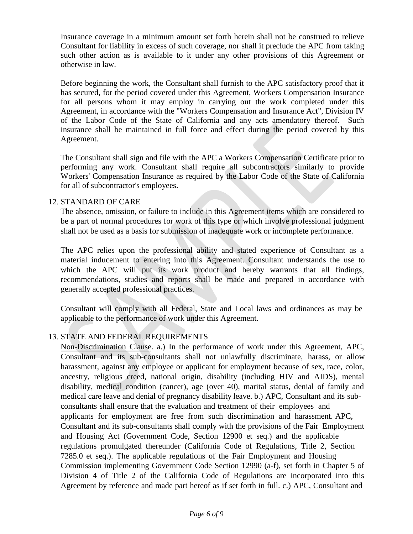Insurance coverage in a minimum amount set forth herein shall not be construed to relieve Consultant for liability in excess of such coverage, nor shall it preclude the APC from taking such other action as is available to it under any other provisions of this Agreement or otherwise in law.

Before beginning the work, the Consultant shall furnish to the APC satisfactory proof that it has secured, for the period covered under this Agreement, Workers Compensation Insurance for all persons whom it may employ in carrying out the work completed under this Agreement, in accordance with the "Workers Compensation and Insurance Act", Division IV of the Labor Code of the State of California and any acts amendatory thereof. Such insurance shall be maintained in full force and effect during the period covered by this Agreement.

The Consultant shall sign and file with the APC a Workers Compensation Certificate prior to performing any work. Consultant shall require all subcontractors similarly to provide Workers' Compensation Insurance as required by the Labor Code of the State of California for all of subcontractor's employees.

#### 12. STANDARD OF CARE

The absence, omission, or failure to include in this Agreement items which are considered to be a part of normal procedures for work of this type or which involve professional judgment shall not be used as a basis for submission of inadequate work or incomplete performance.

The APC relies upon the professional ability and stated experience of Consultant as a material inducement to entering into this Agreement. Consultant understands the use to which the APC will put its work product and hereby warrants that all findings, recommendations, studies and reports shall be made and prepared in accordance with generally accepted professional practices.

Consultant will comply with all Federal, State and Local laws and ordinances as may be applicable to the performance of work under this Agreement.

## 13. STATE AND FEDERAL REQUIREMENTS

Non-Discrimination Clause. a.) In the performance of work under this Agreement, APC, Consultant and its sub-consultants shall not unlawfully discriminate, harass, or allow harassment, against any employee or applicant for employment because of sex, race, color, ancestry, religious creed, national origin, disability (including HIV and AIDS), mental disability, medical condition (cancer), age (over 40), marital status, denial of family and medical care leave and denial of pregnancy disability leave. b.) APC, Consultant and its subconsultants shall ensure that the evaluation and treatment of their employees and applicants for employment are free from such discrimination and harassment. APC, Consultant and its sub-consultants shall comply with the provisions of the Fair Employment and Housing Act (Government Code, Section 12900 et seq.) and the applicable regulations promulgated thereunder (California Code of Regulations, Title 2, Section 7285.0 et seq.). The applicable regulations of the Fair Employment and Housing Commission implementing Government Code Section 12990 (a-f), set forth in Chapter 5 of Division 4 of Title 2 of the California Code of Regulations are incorporated into this Agreement by reference and made part hereof as if set forth in full. c.) APC, Consultant and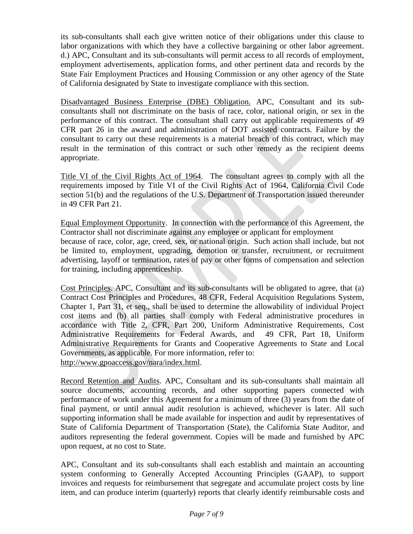its sub-consultants shall each give written notice of their obligations under this clause to labor organizations with which they have a collective bargaining or other labor agreement. d.) APC, Consultant and its sub-consultants will permit access to all records of employment, employment advertisements, application forms, and other pertinent data and records by the State Fair Employment Practices and Housing Commission or any other agency of the State of California designated by State to investigate compliance with this section.

Disadvantaged Business Enterprise (DBE) Obligation. APC, Consultant and its subconsultants shall not discriminate on the basis of race, color, national origin, or sex in the performance of this contract. The consultant shall carry out applicable requirements of 49 CFR part 26 in the award and administration of DOT assisted contracts. Failure by the consultant to carry out these requirements is a material breach of this contract, which may result in the termination of this contract or such other remedy as the recipient deems appropriate.

Title VI of the Civil Rights Act of 1964. The consultant agrees to comply with all the requirements imposed by Title VI of the Civil Rights Act of 1964, California Civil Code section 51(b) and the regulations of the U.S. Department of Transportation issued thereunder in 49 CFR Part 21.

Equal Employment Opportunity. In connection with the performance of this Agreement, the Contractor shall not discriminate against any employee or applicant for employment because of race, color, age, creed, sex, or national origin. Such action shall include, but not be limited to, employment, upgrading, demotion or transfer, recruitment, or recruitment advertising, layoff or termination, rates of pay or other forms of compensation and selection for training, including apprenticeship.

Cost Principles. APC, Consultant and its sub-consultants will be obligated to agree, that (a) Contract Cost Principles and Procedures, 48 CFR, Federal Acquisition Regulations System, Chapter 1, Part 31, et seq., shall be used to determine the allowability of individual Project cost items and (b) all parties shall comply with Federal administrative procedures in accordance with Title 2, CFR, Part 200, Uniform Administrative Requirements, Cost Administrative Requirements for Federal Awards, and 49 CFR, Part 18, Uniform Administrative Requirements for Grants and Cooperative Agreements to State and Local Governments, as applicable. For more information, refer to: [http://www.gpoaccess.gov/nara/index.html.](http://www.gpoaccess.gov/nara/index.html)

Record Retention and Audits. APC, Consultant and its sub-consultants shall maintain all source documents, accounting records, and other supporting papers connected with performance of work under this Agreement for a minimum of three (3) years from the date of final payment, or until annual audit resolution is achieved, whichever is later. All such supporting information shall be made available for inspection and audit by representatives of State of California Department of Transportation (State), the California State Auditor, and auditors representing the federal government. Copies will be made and furnished by APC upon request, at no cost to State.

APC, Consultant and its sub-consultants shall each establish and maintain an accounting system conforming to Generally Accepted Accounting Principles (GAAP), to support invoices and requests for reimbursement that segregate and accumulate project costs by line item, and can produce interim (quarterly) reports that clearly identify reimbursable costs and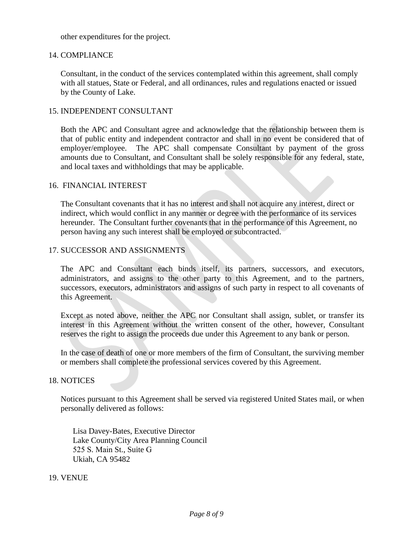other expenditures for the project.

#### 14. COMPLIANCE

Consultant, in the conduct of the services contemplated within this agreement, shall comply with all statues, State or Federal, and all ordinances, rules and regulations enacted or issued by the County of Lake.

#### 15. INDEPENDENT CONSULTANT

Both the APC and Consultant agree and acknowledge that the relationship between them is that of public entity and independent contractor and shall in no event be considered that of employer/employee. The APC shall compensate Consultant by payment of the gross amounts due to Consultant, and Consultant shall be solely responsible for any federal, state, and local taxes and withholdings that may be applicable.

#### 16. FINANCIAL INTEREST

The Consultant covenants that it has no interest and shall not acquire any interest, direct or indirect, which would conflict in any manner or degree with the performance of its services hereunder. The Consultant further covenants that in the performance of this Agreement, no person having any such interest shall be employed or subcontracted.

#### 17. SUCCESSOR AND ASSIGNMENTS

The APC and Consultant each binds itself, its partners, successors, and executors, administrators, and assigns to the other party to this Agreement, and to the partners, successors, executors, administrators and assigns of such party in respect to all covenants of this Agreement.

Except as noted above, neither the APC nor Consultant shall assign, sublet, or transfer its interest in this Agreement without the written consent of the other, however, Consultant reserves the right to assign the proceeds due under this Agreement to any bank or person.

In the case of death of one or more members of the firm of Consultant, the surviving member or members shall complete the professional services covered by this Agreement.

#### 18. NOTICES

Notices pursuant to this Agreement shall be served via registered United States mail, or when personally delivered as follows:

Lisa Davey-Bates, Executive Director Lake County/City Area Planning Council 525 S. Main St., Suite G Ukiah, CA 95482

#### 19. VENUE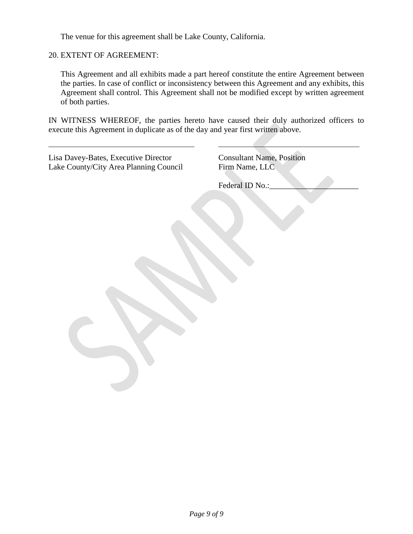The venue for this agreement shall be Lake County, California.

20. EXTENT OF AGREEMENT:

This Agreement and all exhibits made a part hereof constitute the entire Agreement between the parties. In case of conflict or inconsistency between this Agreement and any exhibits, this Agreement shall control. This Agreement shall not be modified except by written agreement of both parties.

IN WITNESS WHEREOF, the parties hereto have caused their duly authorized officers to execute this Agreement in duplicate as of the day and year first written above.

| Lisa Davey-Bates, Executive Director<br>Lake County/City Area Planning Council | <b>Consultant Name, Position</b><br>Firm Name, LLC |
|--------------------------------------------------------------------------------|----------------------------------------------------|
|                                                                                | Federal ID No.:                                    |
|                                                                                |                                                    |
|                                                                                |                                                    |
|                                                                                |                                                    |
|                                                                                |                                                    |
|                                                                                |                                                    |
|                                                                                |                                                    |
|                                                                                |                                                    |
|                                                                                |                                                    |
|                                                                                |                                                    |
|                                                                                |                                                    |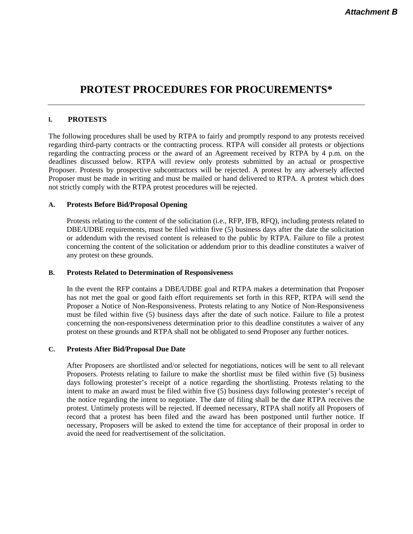# **PROTEST PROCEDURES FOR PROCUREMENTS\***

#### **I. PROTESTS**

The following procedures shall be used by RTPA to fairly and promptly respond to any protests received regarding third-party contracts or the contracting process. RTPA will consider all protests or objections regarding the contracting process or the award of an Agreement received by RTPA by 4 p.m. on the deadlines discussed below. RTPA will review only protests submitted by an actual or prospective Proposer. Protests by prospective subcontractors will be rejected. A protest by any adversely affected Proposer must be made in writing and must be mailed or hand delivered to RTPA. A protest which does not strictly comply with the RTPA protest procedures will be rejected.

#### **A. Protests Before Bid/Proposal Opening**

Protests relating to the content of the solicitation (i.e., RFP, IFB, RFQ), including protests related to DBE/UDBE requirements, must be filed within five (5) business days after the date the solicitation or addendum with the revised content is released to the public by RTPA. Failure to file a protest concerning the content of the solicitation or addendum prior to this deadline constitutes a waiver of any protest on these grounds.

#### **B. Protests Related to Determination of Responsiveness**

In the event the RFP contains a DBE/UDBE goal and RTPA makes a determination that Proposer has not met the goal or good faith effort requirements set forth in this RFP, RTPA will send the Proposer a Notice of Non-Responsiveness. Protests relating to any Notice of Non-Responsiveness must be filed within five (5) business days after the date of such notice. Failure to file a protest concerning the non-responsiveness determination prior to this deadline constitutes a waiver of any protest on these grounds and RTPA shall not be obligated to send Proposer any further notices.

#### **C. Protests After Bid/Proposal Due Date**

After Proposers are shortlisted and/or selected for negotiations, notices will be sent to all relevant Proposers. Protests relating to failure to make the shortlist must be filed within five (5) business days following protester's receipt of a notice regarding the shortlisting. Protests relating to the intent to make an award must be filed within five (5) business days following protester's receipt of the notice regarding the intent to negotiate. The date of filing shall be the date RTPA receives the protest. Untimely protests will be rejected. If deemed necessary, RTPA shall notify all Proposers of record that a protest has been filed and the award has been postponed until further notice. If necessary, Proposers will be asked to extend the time for acceptance of their proposal in order to avoid the need for readvertisement of the solicitation.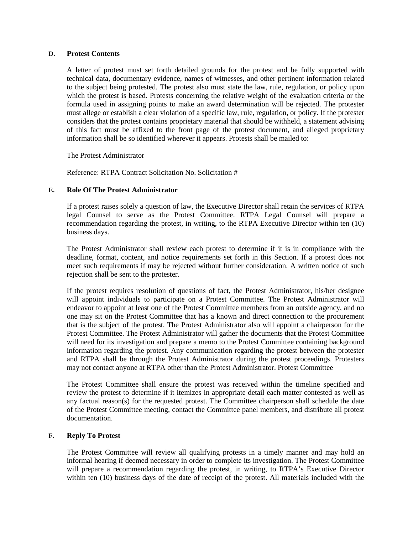#### **D. Protest Contents**

A letter of protest must set forth detailed grounds for the protest and be fully supported with technical data, documentary evidence, names of witnesses, and other pertinent information related to the subject being protested. The protest also must state the law, rule, regulation, or policy upon which the protest is based. Protests concerning the relative weight of the evaluation criteria or the formula used in assigning points to make an award determination will be rejected. The protester must allege or establish a clear violation of a specific law, rule, regulation, or policy. If the protester considers that the protest contains proprietary material that should be withheld, a statement advising of this fact must be affixed to the front page of the protest document, and alleged proprietary information shall be so identified wherever it appears. Protests shall be mailed to:

The Protest Administrator

Reference: RTPA Contract Solicitation No. Solicitation #

#### **E. Role Of The Protest Administrator**

If a protest raises solely a question of law, the Executive Director shall retain the services of RTPA legal Counsel to serve as the Protest Committee. RTPA Legal Counsel will prepare a recommendation regarding the protest, in writing, to the RTPA Executive Director within ten (10) business days.

The Protest Administrator shall review each protest to determine if it is in compliance with the deadline, format, content, and notice requirements set forth in this Section. If a protest does not meet such requirements if may be rejected without further consideration. A written notice of such rejection shall be sent to the protester.

If the protest requires resolution of questions of fact, the Protest Administrator, his/her designee will appoint individuals to participate on a Protest Committee. The Protest Administrator will endeavor to appoint at least one of the Protest Committee members from an outside agency, and no one may sit on the Protest Committee that has a known and direct connection to the procurement that is the subject of the protest. The Protest Administrator also will appoint a chairperson for the Protest Committee. The Protest Administrator will gather the documents that the Protest Committee will need for its investigation and prepare a memo to the Protest Committee containing background information regarding the protest. Any communication regarding the protest between the protester and RTPA shall be through the Protest Administrator during the protest proceedings. Protesters may not contact anyone at RTPA other than the Protest Administrator. Protest Committee

The Protest Committee shall ensure the protest was received within the timeline specified and review the protest to determine if it itemizes in appropriate detail each matter contested as well as any factual reason(s) for the requested protest. The Committee chairperson shall schedule the date of the Protest Committee meeting, contact the Committee panel members, and distribute all protest documentation.

#### **F. Reply To Protest**

The Protest Committee will review all qualifying protests in a timely manner and may hold an informal hearing if deemed necessary in order to complete its investigation. The Protest Committee will prepare a recommendation regarding the protest, in writing, to RTPA's Executive Director within ten (10) business days of the date of receipt of the protest. All materials included with the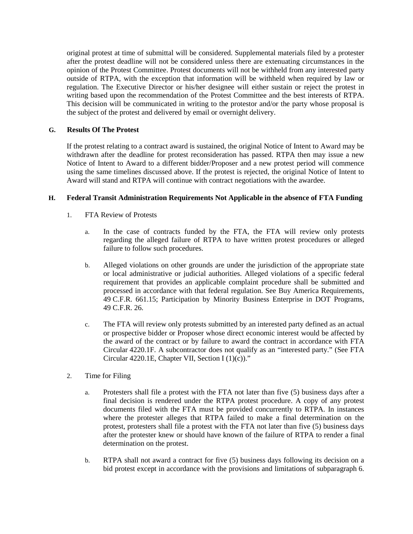original protest at time of submittal will be considered. Supplemental materials filed by a protester after the protest deadline will not be considered unless there are extenuating circumstances in the opinion of the Protest Committee. Protest documents will not be withheld from any interested party outside of RTPA, with the exception that information will be withheld when required by law or regulation. The Executive Director or his/her designee will either sustain or reject the protest in writing based upon the recommendation of the Protest Committee and the best interests of RTPA. This decision will be communicated in writing to the protestor and/or the party whose proposal is the subject of the protest and delivered by email or overnight delivery.

#### **G. Results Of The Protest**

If the protest relating to a contract award is sustained, the original Notice of Intent to Award may be withdrawn after the deadline for protest reconsideration has passed. RTPA then may issue a new Notice of Intent to Award to a different bidder/Proposer and a new protest period will commence using the same timelines discussed above. If the protest is rejected, the original Notice of Intent to Award will stand and RTPA will continue with contract negotiations with the awardee.

#### **H. Federal Transit Administration Requirements Not Applicable in the absence of FTA Funding**

- 1. FTA Review of Protests
	- a. In the case of contracts funded by the FTA, the FTA will review only protests regarding the alleged failure of RTPA to have written protest procedures or alleged failure to follow such procedures.
	- b. Alleged violations on other grounds are under the jurisdiction of the appropriate state or local administrative or judicial authorities. Alleged violations of a specific federal requirement that provides an applicable complaint procedure shall be submitted and processed in accordance with that federal regulation. See Buy America Requirements, 49 C.F.R. 661.15; Participation by Minority Business Enterprise in DOT Programs, 49 C.F.R. 26.
	- c. The FTA will review only protests submitted by an interested party defined as an actual or prospective bidder or Proposer whose direct economic interest would be affected by the award of the contract or by failure to award the contract in accordance with FTA Circular 4220.1F. A subcontractor does not qualify as an "interested party." (See FTA Circular 4220.1E, Chapter VII, Section I (1)(c))."
- 2. Time for Filing
	- a. Protesters shall file a protest with the FTA not later than five (5) business days after a final decision is rendered under the RTPA protest procedure. A copy of any protest documents filed with the FTA must be provided concurrently to RTPA. In instances where the protester alleges that RTPA failed to make a final determination on the protest, protesters shall file a protest with the FTA not later than five (5) business days after the protester knew or should have known of the failure of RTPA to render a final determination on the protest.
	- b. RTPA shall not award a contract for five (5) business days following its decision on a bid protest except in accordance with the provisions and limitations of subparagraph 6.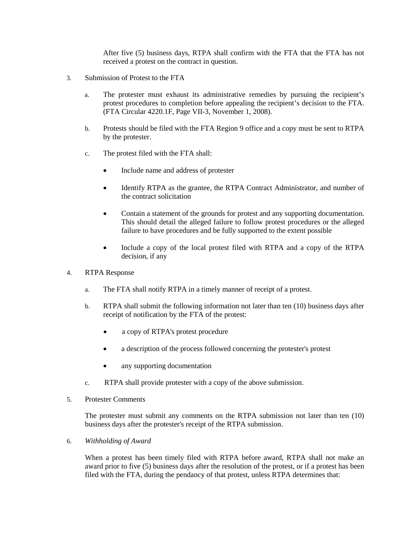After five (5) business days, RTPA shall confirm with the FTA that the FTA has not received a protest on the contract in question.

- 3. Submission of Protest to the FTA
	- a. The protester must exhaust its administrative remedies by pursuing the recipient's protest procedures to completion before appealing the recipient's decision to the FTA. (FTA Circular 4220.1F, Page VII-3, November 1, 2008).
	- b. Protests should be filed with the FTA Region 9 office and a copy must be sent to RTPA by the protester.
	- c. The protest filed with the FTA shall:
		- Include name and address of protester
		- Identify RTPA as the grantee, the RTPA Contract Administrator, and number of the contract solicitation
		- Contain a statement of the grounds for protest and any supporting documentation. This should detail the alleged failure to follow protest procedures or the alleged failure to have procedures and be fully supported to the extent possible
		- Include a copy of the local protest filed with RTPA and a copy of the RTPA decision, if any
- 4. RTPA Response
	- a. The FTA shall notify RTPA in a timely manner of receipt of a protest.
	- b. RTPA shall submit the following information not later than ten (10) business days after receipt of notification by the FTA of the protest:
		- a copy of RTPA's protest procedure
		- a description of the process followed concerning the protester's protest
		- any supporting documentation
	- c. RTPA shall provide protester with a copy of the above submission.
- 5. Protester Comments

The protester must submit any comments on the RTPA submission not later than ten (10) business days after the protester's receipt of the RTPA submission.

6. *Withholding of Award*

When a protest has been timely filed with RTPA before award, RTPA shall not make an award prior to five (5) business days after the resolution of the protest, or if a protest has been filed with the FTA, during the pendancy of that protest, unless RTPA determines that: